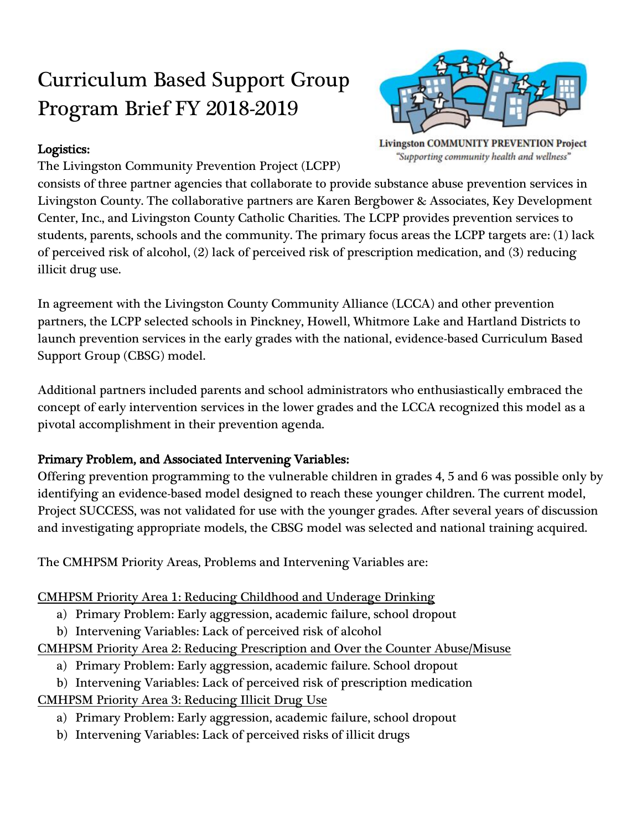# Curriculum Based Support Group Program Brief FY 2018-2019



"Supporting community health and wellness"

## Logistics:

The Livingston Community Prevention Project (LCPP)

consists of three partner agencies that collaborate to provide substance abuse prevention services in Livingston County. The collaborative partners are Karen Bergbower & Associates, Key Development Center, Inc., and Livingston County Catholic Charities. The LCPP provides prevention services to students, parents, schools and the community. The primary focus areas the LCPP targets are: (1) lack of perceived risk of alcohol, (2) lack of perceived risk of prescription medication, and (3) reducing illicit drug use.

In agreement with the Livingston County Community Alliance (LCCA) and other prevention partners, the LCPP selected schools in Pinckney, Howell, Whitmore Lake and Hartland Districts to launch prevention services in the early grades with the national, evidence-based Curriculum Based Support Group (CBSG) model.

Additional partners included parents and school administrators who enthusiastically embraced the concept of early intervention services in the lower grades and the LCCA recognized this model as a pivotal accomplishment in their prevention agenda.

# Primary Problem, and Associated Intervening Variables:

Offering prevention programming to the vulnerable children in grades 4, 5 and 6 was possible only by identifying an evidence-based model designed to reach these younger children. The current model, Project SUCCESS, was not validated for use with the younger grades. After several years of discussion and investigating appropriate models, the CBSG model was selected and national training acquired.

The CMHPSM Priority Areas, Problems and Intervening Variables are:

## CMHPSM Priority Area 1: Reducing Childhood and Underage Drinking

- a) Primary Problem: Early aggression, academic failure, school dropout
- b) Intervening Variables: Lack of perceived risk of alcohol

CMHPSM Priority Area 2: Reducing Prescription and Over the Counter Abuse/Misuse

- a) Primary Problem: Early aggression, academic failure. School dropout
- b) Intervening Variables: Lack of perceived risk of prescription medication
- CMHPSM Priority Area 3: Reducing Illicit Drug Use
	- a) Primary Problem: Early aggression, academic failure, school dropout
	- b) Intervening Variables: Lack of perceived risks of illicit drugs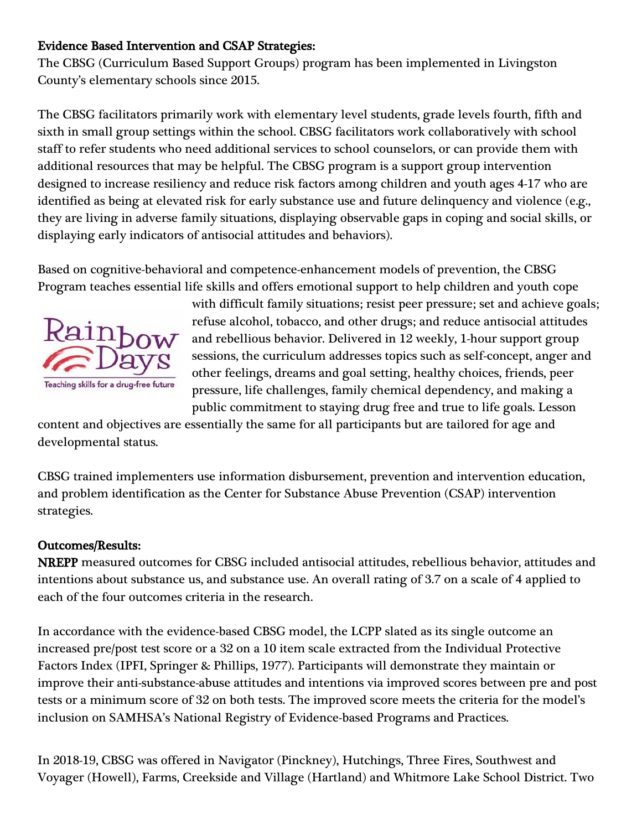#### Evidence Based Intervention and CSAP Strategies:

The CBSG (Curriculum Based Support Groups) program has been implemented in Livingston County's elementary schools since 2015.

The CBSG facilitators primarily work with elementary level students, grade levels fourth, fifth and sixth in small group settings within the school. CBSG facilitators work collaboratively with school staff to refer students who need additional services to school counselors, or can provide them with additional resources that may be helpful. The CBSG program is a support group intervention designed to increase resiliency and reduce risk factors among children and youth ages 4-17 who are identified as being at elevated risk for early substance use and future delinquency and violence (e.g., they are living in adverse family situations, displaying observable gaps in coping and social skills, or displaying early indicators of antisocial attitudes and behaviors).

Based on cognitive-behavioral and competence-enhancement models of prevention, the CBSG Program teaches essential life skills and offers emotional support to help children and youth cope



with difficult family situations; resist peer pressure; set and achieve goals; refuse alcohol, tobacco, and other drugs; and reduce antisocial attitudes and rebellious behavior. Delivered in 12 weekly, 1-hour support group sessions, the curriculum addresses topics such as self-concept, anger and other feelings, dreams and goal setting, healthy choices, friends, peer pressure, life challenges, family chemical dependency, and making a public commitment to staying drug free and true to life goals. Lesson

content and objectives are essentially the same for all participants but are tailored for age and developmental status.

CBSG trained implementers use information disbursement, prevention and intervention education, and problem identification as the Center for Substance Abuse Prevention (CSAP) intervention strategies.

#### Outcomes/Results:

NREPP measured outcomes for CBSG included antisocial attitudes, rebellious behavior, attitudes and intentions about substance us, and substance use. An overall rating of 3.7 on a scale of 4 applied to each of the four outcomes criteria in the research.

In accordance with the evidence-based CBSG model, the LCPP slated as its single outcome an increased pre/post test score or a 32 on a 10 item scale extracted from the Individual Protective Factors Index (IPFI, Springer & Phillips, 1977). Participants will demonstrate they maintain or improve their anti-substance-abuse attitudes and intentions via improved scores between pre and post tests or a minimum score of 32 on both tests. The improved score meets the criteria for the model's inclusion on SAMHSA's National Registry of Evidence-based Programs and Practices.

In 2018-19, CBSG was offered in Navigator (Pinckney), Hutchings, Three Fires, Southwest and Voyager (Howell), Farms, Creekside and Village (Hartland) and Whitmore Lake School District. Two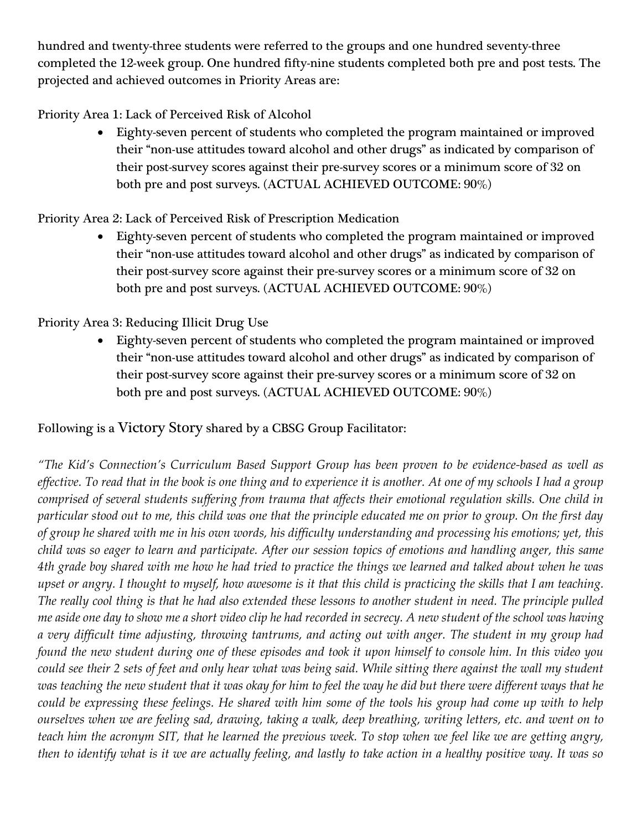hundred and twenty-three students were referred to the groups and one hundred seventy-three completed the 12-week group. One hundred fifty-nine students completed both pre and post tests. The projected and achieved outcomes in Priority Areas are:

Priority Area 1: Lack of Perceived Risk of Alcohol

• Eighty-seven percent of students who completed the program maintained or improved their "non-use attitudes toward alcohol and other drugs" as indicated by comparison of their post-survey scores against their pre-survey scores or a minimum score of 32 on both pre and post surveys. (ACTUAL ACHIEVED OUTCOME: 90%)

## Priority Area 2: Lack of Perceived Risk of Prescription Medication

• Eighty-seven percent of students who completed the program maintained or improved their "non-use attitudes toward alcohol and other drugs" as indicated by comparison of their post-survey score against their pre-survey scores or a minimum score of 32 on both pre and post surveys. (ACTUAL ACHIEVED OUTCOME: 90%)

# Priority Area 3: Reducing Illicit Drug Use

• Eighty-seven percent of students who completed the program maintained or improved their "non-use attitudes toward alcohol and other drugs" as indicated by comparison of their post-survey score against their pre-survey scores or a minimum score of 32 on both pre and post surveys. (ACTUAL ACHIEVED OUTCOME: 90%)

# Following is a Victory Story shared by a CBSG Group Facilitator:

*"The Kid's Connection's Curriculum Based Support Group has been proven to be evidence-based as well as effective. To read that in the book is one thing and to experience it is another. At one of my schools I had a group comprised of several students suffering from trauma that affects their emotional regulation skills. One child in particular stood out to me, this child was one that the principle educated me on prior to group. On the first day of group he shared with me in his own words, his difficulty understanding and processing his emotions; yet, this child was so eager to learn and participate. After our session topics of emotions and handling anger, this same 4th grade boy shared with me how he had tried to practice the things we learned and talked about when he was upset or angry. I thought to myself, how awesome is it that this child is practicing the skills that I am teaching. The really cool thing is that he had also extended these lessons to another student in need. The principle pulled me aside one day to show me a short video clip he had recorded in secrecy. A new student of the school was having a very difficult time adjusting, throwing tantrums, and acting out with anger. The student in my group had found the new student during one of these episodes and took it upon himself to console him. In this video you could see their 2 sets of feet and only hear what was being said. While sitting there against the wall my student was teaching the new student that it was okay for him to feel the way he did but there were different ways that he could be expressing these feelings. He shared with him some of the tools his group had come up with to help ourselves when we are feeling sad, drawing, taking a walk, deep breathing, writing letters, etc. and went on to teach him the acronym SIT, that he learned the previous week. To stop when we feel like we are getting angry, then to identify what is it we are actually feeling, and lastly to take action in a healthy positive way. It was so*